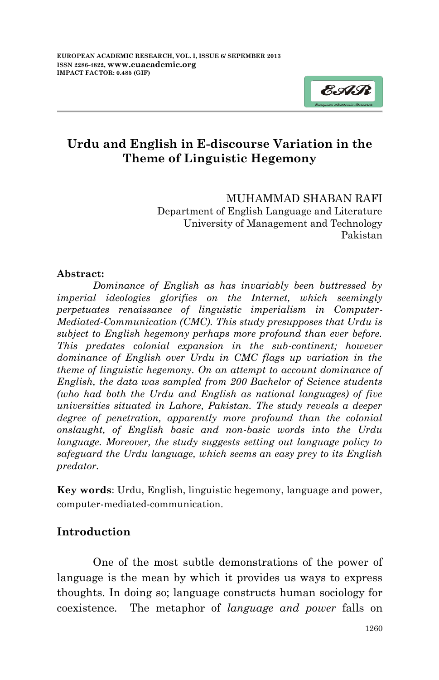

## **Urdu and English in E-discourse Variation in the Theme of Linguistic Hegemony**

### MUHAMMAD SHABAN RAFI

Department of English Language and Literature University of Management and Technology Pakistan

### **Abstract:**

*Dominance of English as has invariably been buttressed by imperial ideologies glorifies on the Internet, which seemingly perpetuates renaissance of linguistic imperialism in Computer-Mediated-Communication (CMC). This study presupposes that Urdu is subject to English hegemony perhaps more profound than ever before. This predates colonial expansion in the sub-continent; however dominance of English over Urdu in CMC flags up variation in the theme of linguistic hegemony. On an attempt to account dominance of English, the data was sampled from 200 Bachelor of Science students (who had both the Urdu and English as national languages) of five universities situated in Lahore, Pakistan. The study reveals a deeper degree of penetration, apparently more profound than the colonial onslaught, of English basic and non-basic words into the Urdu language. Moreover, the study suggests setting out language policy to safeguard the Urdu language, which seems an easy prey to its English predator.*

**Key words**: Urdu, English, linguistic hegemony, language and power, computer-mediated-communication.

## **Introduction**

One of the most subtle demonstrations of the power of language is the mean by which it provides us ways to express thoughts. In doing so; language constructs human sociology for coexistence. The metaphor of *language and power* falls on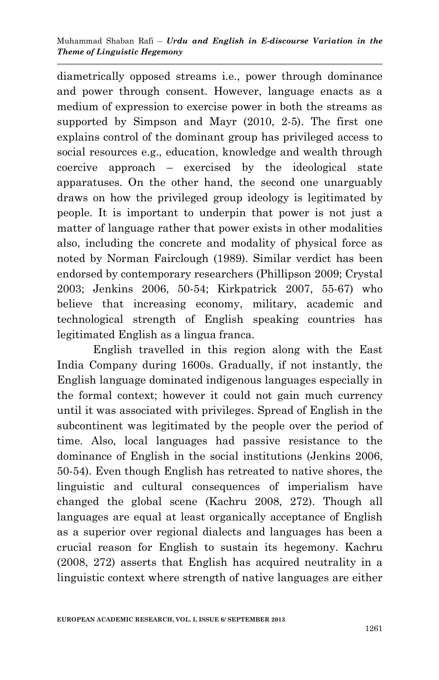diametrically opposed streams i.e., power through dominance and power through consent. However, language enacts as a medium of expression to exercise power in both the streams as supported by Simpson and Mayr (2010, 2-5). The first one explains control of the dominant group has privileged access to social resources e.g., education, knowledge and wealth through coercive approach – exercised by the ideological state apparatuses. On the other hand, the second one unarguably draws on how the privileged group ideology is legitimated by people. It is important to underpin that power is not just a matter of language rather that power exists in other modalities also, including the concrete and modality of physical force as noted by Norman Fairclough (1989). Similar verdict has been endorsed by contemporary researchers (Phillipson 2009; Crystal 2003; Jenkins 2006, 50-54; Kirkpatrick 2007, 55-67) who believe that increasing economy, military, academic and technological strength of English speaking countries has legitimated English as a lingua franca.

English travelled in this region along with the East India Company during 1600s. Gradually, if not instantly, the English language dominated indigenous languages especially in the formal context; however it could not gain much currency until it was associated with privileges. Spread of English in the subcontinent was legitimated by the people over the period of time. Also, local languages had passive resistance to the dominance of English in the social institutions (Jenkins 2006, 50-54). Even though English has retreated to native shores, the linguistic and cultural consequences of imperialism have changed the global scene (Kachru 2008, 272). Though all languages are equal at least organically acceptance of English as a superior over regional dialects and languages has been a crucial reason for English to sustain its hegemony. Kachru (2008, 272) asserts that English has acquired neutrality in a linguistic context where strength of native languages are either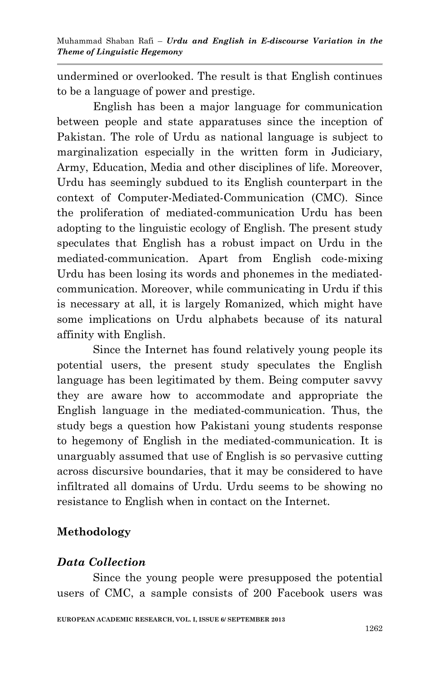undermined or overlooked. The result is that English continues to be a language of power and prestige.

English has been a major language for communication between people and state apparatuses since the inception of Pakistan. The role of Urdu as national language is subject to marginalization especially in the written form in Judiciary, Army, Education, Media and other disciplines of life. Moreover, Urdu has seemingly subdued to its English counterpart in the context of Computer-Mediated-Communication (CMC). Since the proliferation of mediated-communication Urdu has been adopting to the linguistic ecology of English. The present study speculates that English has a robust impact on Urdu in the mediated-communication. Apart from English code-mixing Urdu has been losing its words and phonemes in the mediatedcommunication. Moreover, while communicating in Urdu if this is necessary at all, it is largely Romanized, which might have some implications on Urdu alphabets because of its natural affinity with English.

Since the Internet has found relatively young people its potential users, the present study speculates the English language has been legitimated by them. Being computer savvy they are aware how to accommodate and appropriate the English language in the mediated-communication. Thus, the study begs a question how Pakistani young students response to hegemony of English in the mediated-communication. It is unarguably assumed that use of English is so pervasive cutting across discursive boundaries, that it may be considered to have infiltrated all domains of Urdu. Urdu seems to be showing no resistance to English when in contact on the Internet.

## **Methodology**

# *Data Collection*

Since the young people were presupposed the potential users of CMC, a sample consists of 200 Facebook users was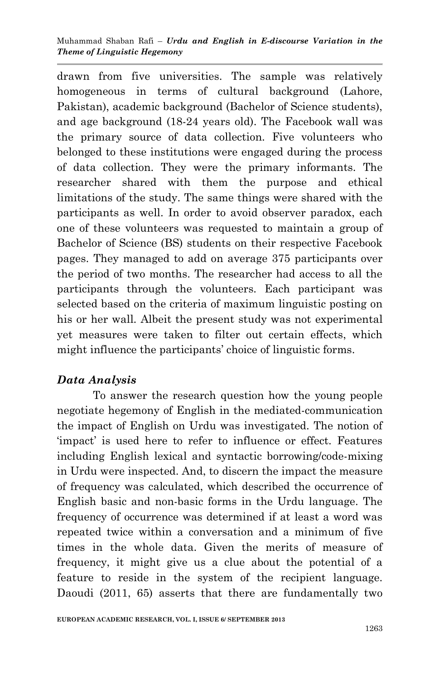drawn from five universities. The sample was relatively homogeneous in terms of cultural background (Lahore, Pakistan), academic background (Bachelor of Science students), and age background (18-24 years old). The Facebook wall was the primary source of data collection. Five volunteers who belonged to these institutions were engaged during the process of data collection. They were the primary informants. The researcher shared with them the purpose and ethical limitations of the study. The same things were shared with the participants as well. In order to avoid observer paradox, each one of these volunteers was requested to maintain a group of Bachelor of Science (BS) students on their respective Facebook pages. They managed to add on average 375 participants over the period of two months. The researcher had access to all the participants through the volunteers. Each participant was selected based on the criteria of maximum linguistic posting on his or her wall. Albeit the present study was not experimental yet measures were taken to filter out certain effects, which might influence the participants' choice of linguistic forms.

## *Data Analysis*

To answer the research question how the young people negotiate hegemony of English in the mediated-communication the impact of English on Urdu was investigated. The notion of 'impact' is used here to refer to influence or effect. Features including English lexical and syntactic borrowing/code-mixing in Urdu were inspected. And, to discern the impact the measure of frequency was calculated, which described the occurrence of English basic and non-basic forms in the Urdu language. The frequency of occurrence was determined if at least a word was repeated twice within a conversation and a minimum of five times in the whole data. Given the merits of measure of frequency, it might give us a clue about the potential of a feature to reside in the system of the recipient language. Daoudi (2011, 65) asserts that there are fundamentally two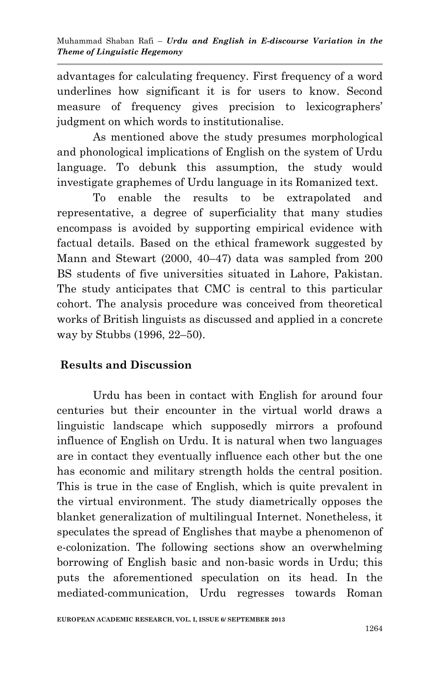advantages for calculating frequency. First frequency of a word underlines how significant it is for users to know. Second measure of frequency gives precision to lexicographers' judgment on which words to institutionalise.

As mentioned above the study presumes morphological and phonological implications of English on the system of Urdu language. To debunk this assumption, the study would investigate graphemes of Urdu language in its Romanized text.

To enable the results to be extrapolated and representative, a degree of superficiality that many studies encompass is avoided by supporting empirical evidence with factual details. Based on the ethical framework suggested by Mann and Stewart (2000, 40–47) data was sampled from 200 BS students of five universities situated in Lahore, Pakistan. The study anticipates that CMC is central to this particular cohort. The analysis procedure was conceived from theoretical works of British linguists as discussed and applied in a concrete way by Stubbs (1996, 22–50).

## **Results and Discussion**

Urdu has been in contact with English for around four centuries but their encounter in the virtual world draws a linguistic landscape which supposedly mirrors a profound influence of English on Urdu. It is natural when two languages are in contact they eventually influence each other but the one has economic and military strength holds the central position. This is true in the case of English, which is quite prevalent in the virtual environment. The study diametrically opposes the blanket generalization of multilingual Internet. Nonetheless, it speculates the spread of Englishes that maybe a phenomenon of e-colonization. The following sections show an overwhelming borrowing of English basic and non-basic words in Urdu; this puts the aforementioned speculation on its head. In the mediated-communication, Urdu regresses towards Roman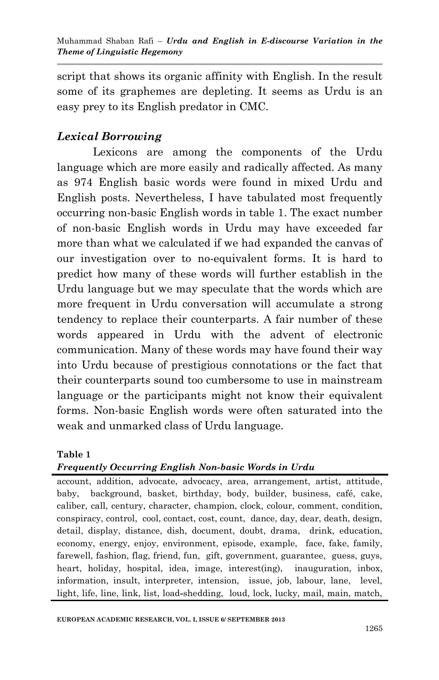script that shows its organic affinity with English. In the result some of its graphemes are depleting. It seems as Urdu is an easy prey to its English predator in CMC.

## *Lexical Borrowing*

Lexicons are among the components of the Urdu language which are more easily and radically affected. As many as 974 English basic words were found in mixed Urdu and English posts. Nevertheless, I have tabulated most frequently occurring non-basic English words in table 1. The exact number of non-basic English words in Urdu may have exceeded far more than what we calculated if we had expanded the canvas of our investigation over to no-equivalent forms. It is hard to predict how many of these words will further establish in the Urdu language but we may speculate that the words which are more frequent in Urdu conversation will accumulate a strong tendency to replace their counterparts. A fair number of these words appeared in Urdu with the advent of electronic communication. Many of these words may have found their way into Urdu because of prestigious connotations or the fact that their counterparts sound too cumbersome to use in mainstream language or the participants might not know their equivalent forms. Non-basic English words were often saturated into the weak and unmarked class of Urdu language.

### **Table 1**

### *Frequently Occurring English Non-basic Words in Urdu*

account, addition, advocate, advocacy, area, arrangement, artist, attitude, baby, background, basket, birthday, body, builder, business, café, cake, caliber, call, century, character, champion, clock, colour, comment, condition, conspiracy, control, cool, contact, cost, count, dance, day, dear, death, design, detail, display, distance, dish, document, doubt, drama, drink, education, economy, energy, enjoy, environment, episode, example, face, fake, family, farewell, fashion, flag, friend, fun, gift, government, guarantee, guess, guys, heart, holiday, hospital, idea, image, interest(ing), inauguration, inbox, information, insult, interpreter, intension, issue, job, labour, lane, level, light, life, line, link, list, load**-**shedding, loud, lock, lucky, mail, main, match,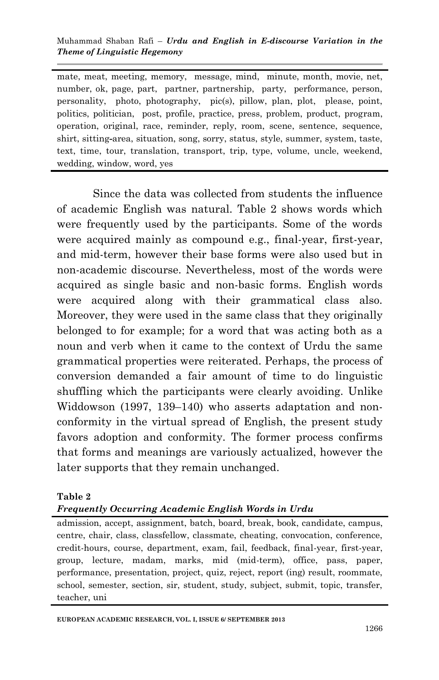mate, meat, meeting, memory, message, mind, minute, month, movie, net, number, ok, page, part, partner, partnership, party, performance, person, personality, photo, photography, pic(s), pillow, plan, plot, please, point, politics, politician, post, profile, practice, press, problem, product, program, operation, original, race, reminder, reply, room, scene, sentence, sequence, shirt, sitting**-**area, situation, song, sorry, status, style, summer, system, taste, text, time, tour, translation, transport, trip, type, volume, uncle, weekend, wedding, window, word, yes

Since the data was collected from students the influence of academic English was natural. Table 2 shows words which were frequently used by the participants. Some of the words were acquired mainly as compound e.g., final-year, first-year, and mid-term, however their base forms were also used but in non-academic discourse. Nevertheless, most of the words were acquired as single basic and non-basic forms. English words were acquired along with their grammatical class also. Moreover, they were used in the same class that they originally belonged to for example; for a word that was acting both as a noun and verb when it came to the context of Urdu the same grammatical properties were reiterated. Perhaps, the process of conversion demanded a fair amount of time to do linguistic shuffling which the participants were clearly avoiding. Unlike Widdowson (1997, 139–140) who asserts adaptation and nonconformity in the virtual spread of English, the present study favors adoption and conformity. The former process confirms that forms and meanings are variously actualized, however the later supports that they remain unchanged.

#### **Table 2**

*Frequently Occurring Academic English Words in Urdu* 

admission, accept, assignment, batch, board, break, book, candidate, campus, centre, chair, class, classfellow, classmate, cheating, convocation, conference, credit-hours, course, department, exam, fail, feedback, final-year, first-year, group, lecture, madam, marks, mid (mid-term), office, pass, paper, performance, presentation, project, quiz, reject, report (ing) result, roommate, school, semester, section, sir, student, study, subject, submit, topic, transfer, teacher, uni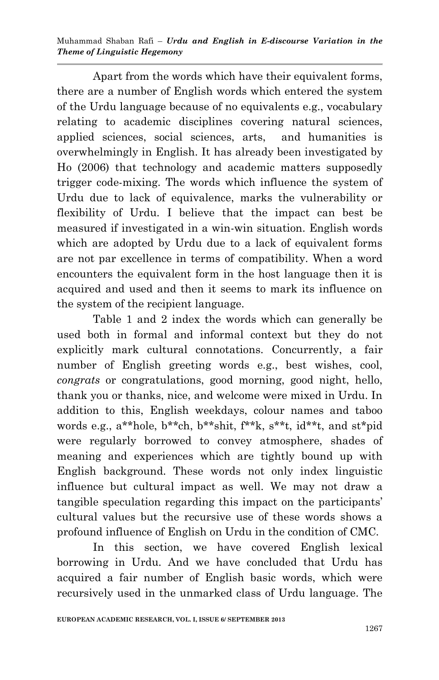Apart from the words which have their equivalent forms, there are a number of English words which entered the system of the Urdu language because of no equivalents e.g., vocabulary relating to academic disciplines covering natural sciences, applied sciences, social sciences, arts, and humanities is overwhelmingly in English. It has already been investigated by Ho (2006) that technology and academic matters supposedly trigger code-mixing. The words which influence the system of Urdu due to lack of equivalence, marks the vulnerability or flexibility of Urdu. I believe that the impact can best be measured if investigated in a win-win situation. English words which are adopted by Urdu due to a lack of equivalent forms are not par excellence in terms of compatibility. When a word encounters the equivalent form in the host language then it is acquired and used and then it seems to mark its influence on the system of the recipient language.

Table 1 and 2 index the words which can generally be used both in formal and informal context but they do not explicitly mark cultural connotations. Concurrently, a fair number of English greeting words e.g., best wishes, cool, *congrats* or congratulations, good morning, good night, hello, thank you or thanks, nice, and welcome were mixed in Urdu. In addition to this, English weekdays, colour names and taboo words e.g., a\*\*hole, b\*\*ch, b\*\*shit, f\*\*k, s\*\*t, id\*\*t, and st\*pid were regularly borrowed to convey atmosphere, shades of meaning and experiences which are tightly bound up with English background. These words not only index linguistic influence but cultural impact as well. We may not draw a tangible speculation regarding this impact on the participants' cultural values but the recursive use of these words shows a profound influence of English on Urdu in the condition of CMC.

In this section, we have covered English lexical borrowing in Urdu. And we have concluded that Urdu has acquired a fair number of English basic words, which were recursively used in the unmarked class of Urdu language. The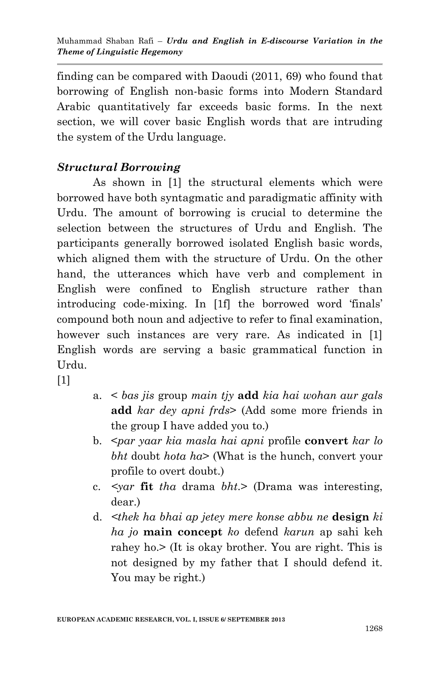finding can be compared with Daoudi (2011, 69) who found that borrowing of English non-basic forms into Modern Standard Arabic quantitatively far exceeds basic forms. In the next section, we will cover basic English words that are intruding the system of the Urdu language.

# *Structural Borrowing*

As shown in [1] the structural elements which were borrowed have both syntagmatic and paradigmatic affinity with Urdu. The amount of borrowing is crucial to determine the selection between the structures of Urdu and English. The participants generally borrowed isolated English basic words, which aligned them with the structure of Urdu. On the other hand, the utterances which have verb and complement in English were confined to English structure rather than introducing code-mixing. In [1f] the borrowed word "finals" compound both noun and adjective to refer to final examination, however such instances are very rare. As indicated in [1] English words are serving a basic grammatical function in Urdu.

[1]

- a. < *bas jis* group *main tjy* **add** *kia hai wohan aur gals*  **add** *kar dey apni frds*> (Add some more friends in the group I have added you to.)
- b. <*par yaar kia masla hai apni* profile **convert** *kar lo bht* doubt *hota ha*> (What is the hunch, convert your profile to overt doubt.)
- c. *<yar* **fit** *tha* drama *bht*.> (Drama was interesting, dear.)
- d. *<thek ha bhai ap jetey mere konse abbu ne* **design** *ki ha jo* **main concept** *ko* defend *karun* ap sahi keh rahey ho.> (It is okay brother. You are right. This is not designed by my father that I should defend it. You may be right.)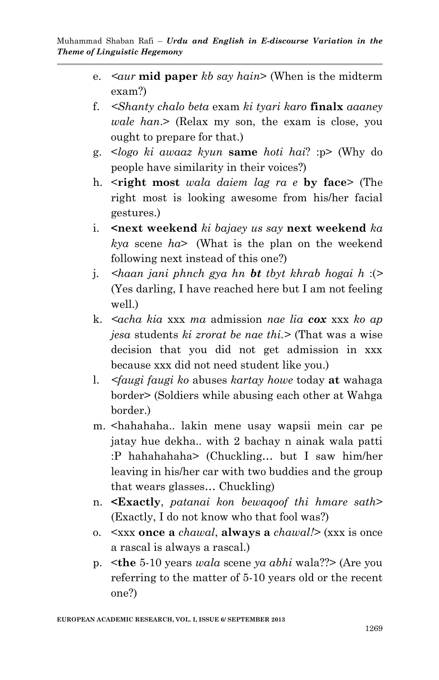- e. *<aur* **mid paper** *kb say hain*> (When is the midterm exam?)
- f. *<Shanty chalo beta* exam *ki tyari karo* **finalx** *aaaney wale han*.> (Relax my son, the exam is close, you ought to prepare for that.)
- g. <*logo ki awaaz kyun* **same** *hoti hai*? :p> (Why do people have similarity in their voices?)
- h. <**right most** *wala daiem lag ra e* **by face**> (The right most is looking awesome from his/her facial gestures.)
- i. **<next weekend** *ki bajaey us say* **next weekend** *ka kya* scene *ha*> (What is the plan on the weekend following next instead of this one?)
- j. *<haan jani phnch gya hn bt tbyt khrab hogai h* :(*>*  (Yes darling, I have reached here but I am not feeling well.)
- k. *<acha kia* xxx *ma* admission *nae lia cox* xxx *ko ap jesa* students *ki zrorat be nae thi.>* (That was a wise decision that you did not get admission in xxx because xxx did not need student like you.)
- l. *<faugi faugi ko* abuses *kartay howe* today **at** wahaga border> (Soldiers while abusing each other at Wahga border.)
- m. <hahahaha.. lakin mene usay wapsii mein car pe jatay hue dekha.. with 2 bachay n ainak wala patti :P hahahahaha> (Chuckling… but I saw him/her leaving in his/her car with two buddies and the group that wears glasses… Chuckling)
- n. **<Exactly**, *patanai kon bewaqoof thi hmare sath*> (Exactly, I do not know who that fool was?)
- o. <xxx **once a** *chawal*, **always a** *chawal!>* (xxx is once a rascal is always a rascal.)
- p. <**the** 5-10 years *wala* scene *ya abhi* wala??> (Are you referring to the matter of 5-10 years old or the recent one?)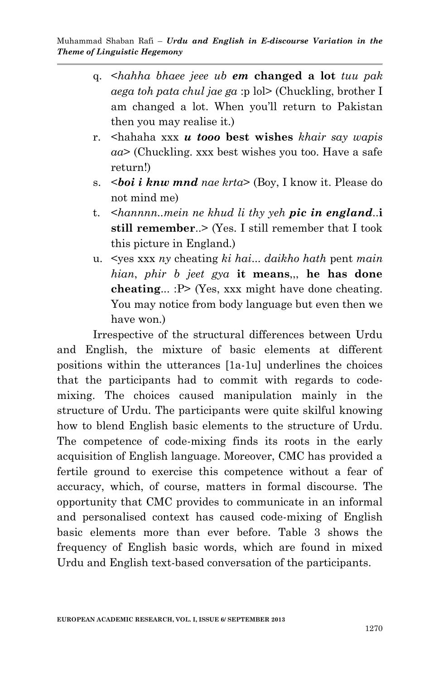- q. <*hahha bhaee jeee ub em* **changed a lot** *tuu pak aega toh pata chul jae ga* :p lol> (Chuckling, brother I am changed a lot. When you"ll return to Pakistan then you may realise it.)
- r. <hahaha xxx *u tooo* **best wishes** *khair say wapis aa*> (Chuckling. xxx best wishes you too. Have a safe return!)
- s. <*boi i knw mnd nae krta*> (Boy, I know it. Please do not mind me)
- t. <*hannnn..mein ne khud li thy yeh pic in england*..**i still remember**..> (Yes. I still remember that I took this picture in England.)
- u. <yes xxx *ny* cheating *ki hai*... *daikho hath* pent *main hian*, *phir b jeet gya* **it means**,,, **he has done cheating**... :P> (Yes, xxx might have done cheating. You may notice from body language but even then we have won.)

Irrespective of the structural differences between Urdu and English, the mixture of basic elements at different positions within the utterances [1a-1u] underlines the choices that the participants had to commit with regards to codemixing. The choices caused manipulation mainly in the structure of Urdu. The participants were quite skilful knowing how to blend English basic elements to the structure of Urdu. The competence of code-mixing finds its roots in the early acquisition of English language. Moreover, CMC has provided a fertile ground to exercise this competence without a fear of accuracy, which, of course, matters in formal discourse. The opportunity that CMC provides to communicate in an informal and personalised context has caused code-mixing of English basic elements more than ever before. Table 3 shows the frequency of English basic words, which are found in mixed Urdu and English text-based conversation of the participants.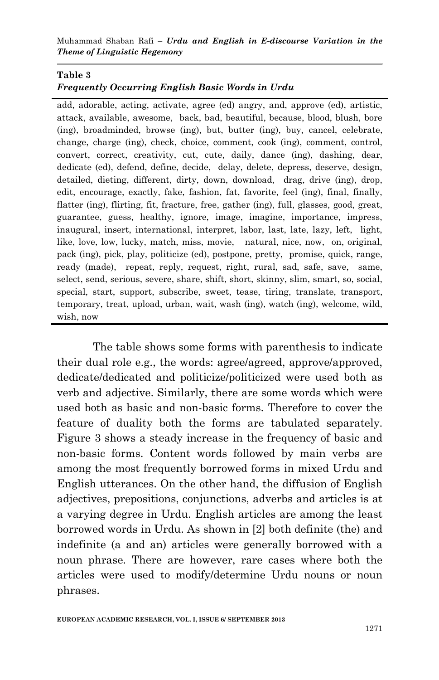#### **Table 3**

### *Frequently Occurring English Basic Words in Urdu*

add, adorable, acting, activate, agree (ed) angry, and, approve (ed), artistic, attack, available, awesome, back, bad, beautiful, because, blood, blush, bore (ing), broadminded, browse (ing), but, butter (ing), buy, cancel, celebrate, change, charge (ing), check, choice, comment, cook (ing), comment, control, convert, correct, creativity, cut, cute, daily, dance (ing), dashing, dear, dedicate (ed), defend, define, decide, delay, delete, depress, deserve, design, detailed, dieting, different, dirty, down, download, drag, drive (ing), drop, edit, encourage, exactly, fake, fashion, fat, favorite, feel (ing), final, finally, flatter (ing), flirting, fit, fracture, free, gather (ing), full, glasses, good, great, guarantee, guess, healthy, ignore, image, imagine, importance, impress, inaugural, insert, international, interpret, labor, last, late, lazy, left, light, like, love, low, lucky, match, miss, movie, natural, nice, now, on, original, pack (ing), pick, play, politicize (ed), postpone, pretty, promise, quick, range, ready (made), repeat, reply, request, right, rural, sad, safe, save, same, select, send, serious, severe, share, shift, short, skinny, slim, smart, so, social, special, start, support, subscribe, sweet, tease, tiring, translate, transport, temporary, treat, upload, urban, wait, wash (ing), watch (ing), welcome, wild, wish, now

The table shows some forms with parenthesis to indicate their dual role e.g., the words: agree/agreed, approve/approved, dedicate/dedicated and politicize/politicized were used both as verb and adjective. Similarly, there are some words which were used both as basic and non-basic forms. Therefore to cover the feature of duality both the forms are tabulated separately. Figure 3 shows a steady increase in the frequency of basic and non-basic forms. Content words followed by main verbs are among the most frequently borrowed forms in mixed Urdu and English utterances. On the other hand, the diffusion of English adjectives, prepositions, conjunctions, adverbs and articles is at a varying degree in Urdu. English articles are among the least borrowed words in Urdu. As shown in [2] both definite (the) and indefinite (a and an) articles were generally borrowed with a noun phrase. There are however, rare cases where both the articles were used to modify/determine Urdu nouns or noun phrases.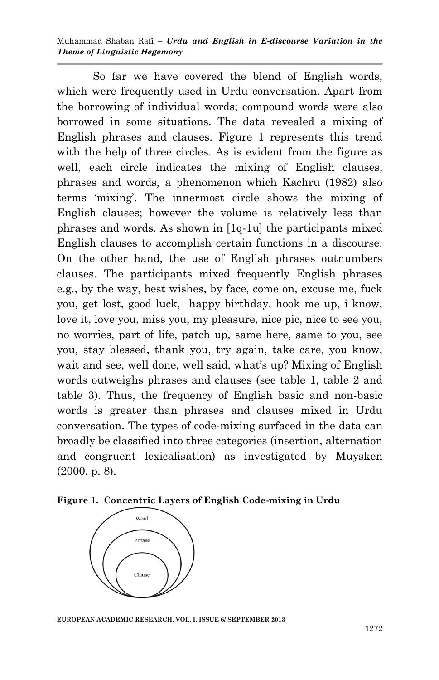So far we have covered the blend of English words, which were frequently used in Urdu conversation. Apart from the borrowing of individual words; compound words were also borrowed in some situations. The data revealed a mixing of English phrases and clauses. Figure 1 represents this trend with the help of three circles. As is evident from the figure as well, each circle indicates the mixing of English clauses, phrases and words, a phenomenon which Kachru (1982) also terms "mixing". The innermost circle shows the mixing of English clauses; however the volume is relatively less than phrases and words. As shown in [1q-1u] the participants mixed English clauses to accomplish certain functions in a discourse. On the other hand, the use of English phrases outnumbers clauses. The participants mixed frequently English phrases e.g., by the way, best wishes, by face, come on, excuse me, fuck you, get lost, good luck, happy birthday, hook me up, i know, love it, love you, miss you, my pleasure, nice pic, nice to see you, no worries, part of life, patch up, same here, same to you, see you, stay blessed, thank you, try again, take care, you know, wait and see, well done, well said, what's up? Mixing of English words outweighs phrases and clauses (see table 1, table 2 and table 3). Thus, the frequency of English basic and non-basic words is greater than phrases and clauses mixed in Urdu conversation. The types of code-mixing surfaced in the data can broadly be classified into three categories (insertion, alternation and congruent lexicalisation) as investigated by Muysken (2000, p. 8).

**Figure 1. Concentric Layers of English Code-mixing in Urdu** 



**EUROPEAN ACADEMIC RESEARCH, VOL. I, ISSUE 6/ SEPTEMBER 2013**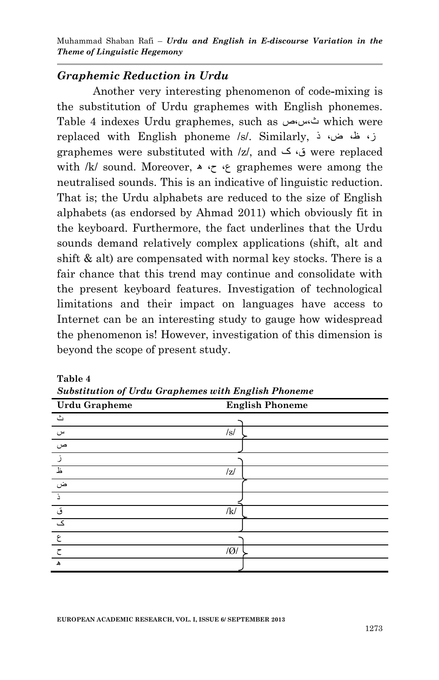### *Graphemic Reduction in Urdu*

Another very interesting phenomenon of code**-**mixing is the substitution of Urdu graphemes with English phonemes. Table 4 indexes Urdu graphemes, such as ص،س،ث which were replaced with English phoneme /s/. Similarly, ذ ،ض ،ظ ،ز graphemes were substituted with /z/, and ک ،ق were replaced with /k/ sound. Moreover,  $\ast$  ج $\ast$  straphemes were among the neutralised sounds. This is an indicative of linguistic reduction. That is; the Urdu alphabets are reduced to the size of English alphabets (as endorsed by Ahmad 2011) which obviously fit in the keyboard. Furthermore, the fact underlines that the Urdu sounds demand relatively complex applications (shift, alt and shift & alt) are compensated with normal key stocks. There is a fair chance that this trend may continue and consolidate with the present keyboard features. Investigation of technological limitations and their impact on languages have access to Internet can be an interesting study to gauge how widespread the phenomenon is! However, investigation of this dimension is beyond the scope of present study.

| <b>Urdu Grapheme</b> | <b>English Phoneme</b> |
|----------------------|------------------------|
| ٹ                    |                        |
| س                    | /s/                    |
| ص                    |                        |
|                      |                        |
| 上                    | z                      |
| ض                    |                        |
| - 5                  |                        |
| ق                    | /k/                    |
| .<br>ک               |                        |
| ع                    |                        |
| ඁ                    | Q                      |
| $\blacktriangle$     |                        |

**Table 4** *Substitution of Urdu Graphemes with English Phoneme*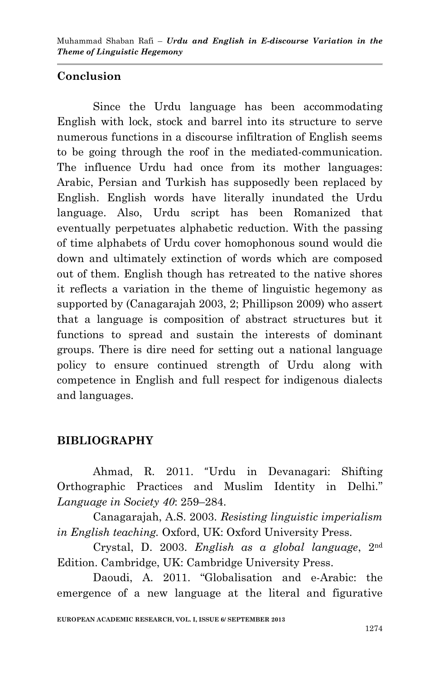## **Conclusion**

Since the Urdu language has been accommodating English with lock, stock and barrel into its structure to serve numerous functions in a discourse infiltration of English seems to be going through the roof in the mediated-communication. The influence Urdu had once from its mother languages: Arabic, Persian and Turkish has supposedly been replaced by English. English words have literally inundated the Urdu language. Also, Urdu script has been Romanized that eventually perpetuates alphabetic reduction. With the passing of time alphabets of Urdu cover homophonous sound would die down and ultimately extinction of words which are composed out of them. English though has retreated to the native shores it reflects a variation in the theme of linguistic hegemony as supported by (Canagarajah 2003, 2; Phillipson 2009) who assert that a language is composition of abstract structures but it functions to spread and sustain the interests of dominant groups. There is dire need for setting out a national language policy to ensure continued strength of Urdu along with competence in English and full respect for indigenous dialects and languages.

## **BIBLIOGRAPHY**

Ahmad, R. 2011. "Urdu in Devanagari: Shifting Orthographic Practices and Muslim Identity in Delhi." *Language in Society 40*: 259–284.

Canagarajah, A.S. 2003. *Resisting linguistic imperialism in English teaching.* Oxford, UK: Oxford University Press.

Crystal, D. 2003. *English as a global language*, 2nd Edition. Cambridge, UK: Cambridge University Press.

Daoudi, A. 2011. "Globalisation and e-Arabic: the emergence of a new language at the literal and figurative